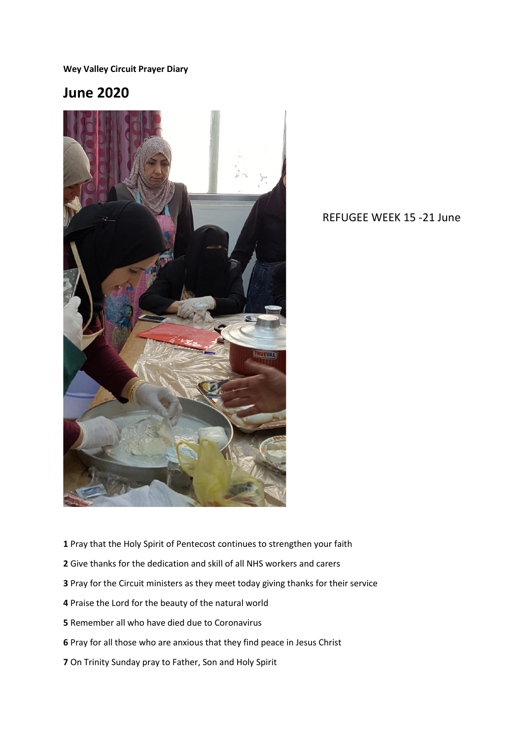**Wey Valley Circuit Prayer Diary** 

## **June 2020**



REFUGEE WEEK 15 -21 June

- Pray that the Holy Spirit of Pentecost continues to strengthen your faith
- Give thanks for the dedication and skill of all NHS workers and carers
- Pray for the Circuit ministers as they meet today giving thanks for their service
- Praise the Lord for the beauty of the natural world
- Remember all who have died due to Coronavirus
- Pray for all those who are anxious that they find peace in Jesus Christ
- On Trinity Sunday pray to Father, Son and Holy Spirit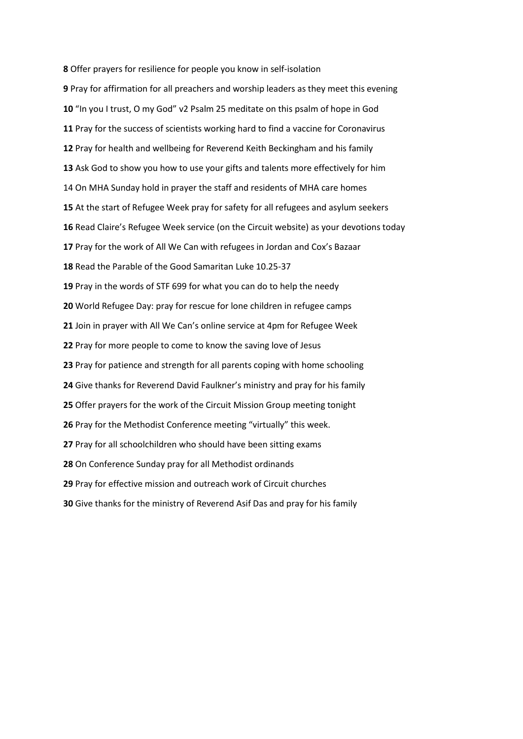Offer prayers for resilience for people you know in self-isolation Pray for affirmation for all preachers and worship leaders as they meet this evening "In you I trust, O my God" v2 Psalm 25 meditate on this psalm of hope in God Pray for the success of scientists working hard to find a vaccine for Coronavirus Pray for health and wellbeing for Reverend Keith Beckingham and his family Ask God to show you how to use your gifts and talents more effectively for him On MHA Sunday hold in prayer the staff and residents of MHA care homes At the start of Refugee Week pray for safety for all refugees and asylum seekers Read Claire's Refugee Week service (on the Circuit website) as your devotions today Pray for the work of All We Can with refugees in Jordan and Cox's Bazaar Read the Parable of the Good Samaritan Luke 10.25-37 Pray in the words of STF 699 for what you can do to help the needy World Refugee Day: pray for rescue for lone children in refugee camps Join in prayer with All We Can's online service at 4pm for Refugee Week Pray for more people to come to know the saving love of Jesus Pray for patience and strength for all parents coping with home schooling Give thanks for Reverend David Faulkner's ministry and pray for his family Offer prayers for the work of the Circuit Mission Group meeting tonight Pray for the Methodist Conference meeting "virtually" this week. Pray for all schoolchildren who should have been sitting exams On Conference Sunday pray for all Methodist ordinands Pray for effective mission and outreach work of Circuit churches Give thanks for the ministry of Reverend Asif Das and pray for his family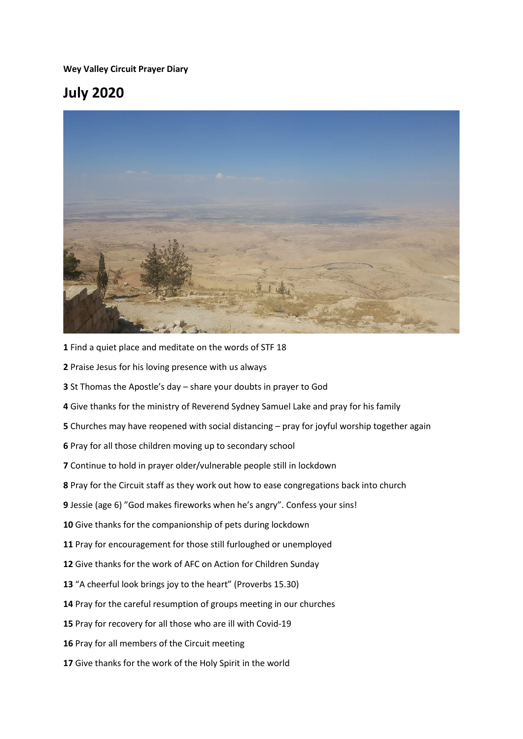**Wey Valley Circuit Prayer Diary** 

## **July 2020**



- Find a quiet place and meditate on the words of STF 18
- Praise Jesus for his loving presence with us always
- St Thomas the Apostle's day share your doubts in prayer to God
- Give thanks for the ministry of Reverend Sydney Samuel Lake and pray for his family
- Churches may have reopened with social distancing pray for joyful worship together again
- Pray for all those children moving up to secondary school
- Continue to hold in prayer older/vulnerable people still in lockdown
- Pray for the Circuit staff as they work out how to ease congregations back into church
- Jessie (age 6) "God makes fireworks when he's angry". Confess your sins!
- Give thanks for the companionship of pets during lockdown
- Pray for encouragement for those still furloughed or unemployed
- Give thanks for the work of AFC on Action for Children Sunday
- "A cheerful look brings joy to the heart" (Proverbs 15.30)
- Pray for the careful resumption of groups meeting in our churches
- Pray for recovery for all those who are ill with Covid-19
- Pray for all members of the Circuit meeting
- Give thanks for the work of the Holy Spirit in the world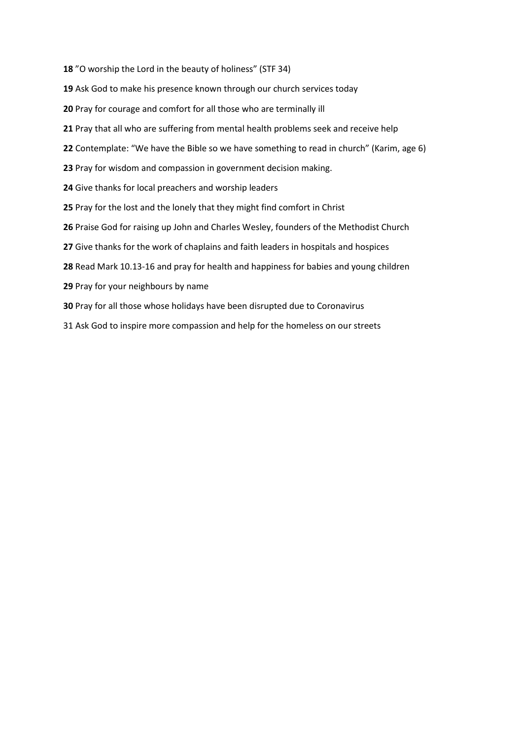- "O worship the Lord in the beauty of holiness" (STF 34)
- Ask God to make his presence known through our church services today
- Pray for courage and comfort for all those who are terminally ill
- Pray that all who are suffering from mental health problems seek and receive help
- Contemplate: "We have the Bible so we have something to read in church" (Karim, age 6)
- Pray for wisdom and compassion in government decision making.
- Give thanks for local preachers and worship leaders
- Pray for the lost and the lonely that they might find comfort in Christ
- Praise God for raising up John and Charles Wesley, founders of the Methodist Church
- Give thanks for the work of chaplains and faith leaders in hospitals and hospices
- Read Mark 10.13-16 and pray for health and happiness for babies and young children
- Pray for your neighbours by name
- Pray for all those whose holidays have been disrupted due to Coronavirus
- Ask God to inspire more compassion and help for the homeless on our streets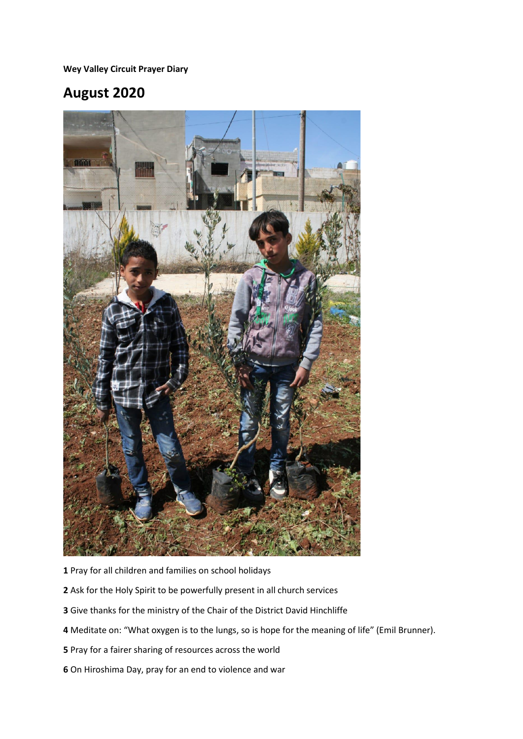**Wey Valley Circuit Prayer Diary** 

## **August 2020**



- Pray for all children and families on school holidays
- Ask for the Holy Spirit to be powerfully present in all church services
- Give thanks for the ministry of the Chair of the District David Hinchliffe
- Meditate on: "What oxygen is to the lungs, so is hope for the meaning of life" (Emil Brunner).
- Pray for a fairer sharing of resources across the world
- On Hiroshima Day, pray for an end to violence and war